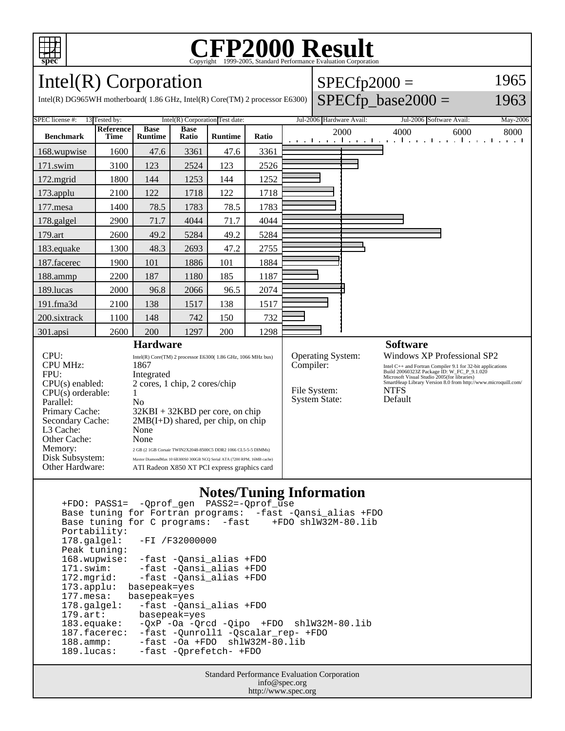

# C<sub>opyright</sub> ©1999-2005, Standard Performance Evaluation Corporation

 $SPECfp2000 =$ 

 $SPECfp\_base2000 =$ 

1965

1963

Intel(R) Corporation

Intel(R) DG965WH motherboard( 1.86 GHz, Intel(R) Core(TM) 2 processor E6300)

| SPEC license #:                                                                                                                                                | 13 Tested by:<br>$Intel(R)$ Corporation Test date: |                                                                                                                                                                                                                               |                      |                |       | Jul-2006 Hardware Avail:<br>Jul-2006 Software Avail:<br>May-2006                  |  |                                                                                                                                                                                                                                                    |      |      |
|----------------------------------------------------------------------------------------------------------------------------------------------------------------|----------------------------------------------------|-------------------------------------------------------------------------------------------------------------------------------------------------------------------------------------------------------------------------------|----------------------|----------------|-------|-----------------------------------------------------------------------------------|--|----------------------------------------------------------------------------------------------------------------------------------------------------------------------------------------------------------------------------------------------------|------|------|
| <b>Benchmark</b>                                                                                                                                               | Reference<br><b>Time</b>                           | <b>Base</b><br><b>Runtime</b>                                                                                                                                                                                                 | <b>Base</b><br>Ratio | <b>Runtime</b> | Ratio | 2000<br>and the angle the anti-service theory of the angle the angle              |  | 4000                                                                                                                                                                                                                                               | 6000 | 8000 |
| 168.wupwise                                                                                                                                                    | 1600                                               | 47.6                                                                                                                                                                                                                          | 3361                 | 47.6           | 3361  |                                                                                   |  |                                                                                                                                                                                                                                                    |      |      |
| 171.swim                                                                                                                                                       | 3100                                               | 123                                                                                                                                                                                                                           | 2524                 | 123            | 2526  |                                                                                   |  |                                                                                                                                                                                                                                                    |      |      |
| $172$ .mgrid                                                                                                                                                   | 1800                                               | 144                                                                                                                                                                                                                           | 1253                 | 144            | 1252  |                                                                                   |  |                                                                                                                                                                                                                                                    |      |      |
| 173.applu                                                                                                                                                      | 2100                                               | 122                                                                                                                                                                                                                           | 1718                 | 122            | 1718  |                                                                                   |  |                                                                                                                                                                                                                                                    |      |      |
| 177.mesa                                                                                                                                                       | 1400                                               | 78.5                                                                                                                                                                                                                          | 1783                 | 78.5           | 1783  |                                                                                   |  |                                                                                                                                                                                                                                                    |      |      |
| 178.galgel                                                                                                                                                     | 2900                                               | 71.7                                                                                                                                                                                                                          | 4044                 | 71.7           | 4044  |                                                                                   |  |                                                                                                                                                                                                                                                    |      |      |
| 179.art                                                                                                                                                        | 2600                                               | 49.2                                                                                                                                                                                                                          | 5284                 | 49.2           | 5284  |                                                                                   |  |                                                                                                                                                                                                                                                    |      |      |
| 183.equake                                                                                                                                                     | 1300                                               | 48.3                                                                                                                                                                                                                          | 2693                 | 47.2           | 2755  |                                                                                   |  |                                                                                                                                                                                                                                                    |      |      |
| 187.facerec                                                                                                                                                    | 1900                                               | 101                                                                                                                                                                                                                           | 1886                 | 101            | 1884  |                                                                                   |  |                                                                                                                                                                                                                                                    |      |      |
| 188.ammp                                                                                                                                                       | 2200                                               | 187                                                                                                                                                                                                                           | 1180                 | 185            | 1187  |                                                                                   |  |                                                                                                                                                                                                                                                    |      |      |
| 189.lucas                                                                                                                                                      | 2000                                               | 96.8                                                                                                                                                                                                                          | 2066                 | 96.5           | 2074  |                                                                                   |  |                                                                                                                                                                                                                                                    |      |      |
| 191.fma3d                                                                                                                                                      | 2100                                               | 138                                                                                                                                                                                                                           | 1517                 | 138            | 1517  |                                                                                   |  |                                                                                                                                                                                                                                                    |      |      |
| 200.sixtrack                                                                                                                                                   | 1100                                               | 148                                                                                                                                                                                                                           | 742                  | 150            | 732   |                                                                                   |  |                                                                                                                                                                                                                                                    |      |      |
| 301.apsi                                                                                                                                                       | 2600                                               | 200                                                                                                                                                                                                                           | 1297                 | 200            | 1298  |                                                                                   |  |                                                                                                                                                                                                                                                    |      |      |
| <b>Hardware</b><br>CPU:<br>Intel(R) Core(TM) 2 processor E6300(1.86 GHz, 1066 MHz bus)                                                                         |                                                    |                                                                                                                                                                                                                               |                      |                |       | <b>Software</b><br><b>Windows XP Professional SP2</b><br><b>Operating System:</b> |  |                                                                                                                                                                                                                                                    |      |      |
| <b>CPU MHz:</b><br>FPU:<br>$CPU(s)$ enabled:<br>$CPU(s)$ orderable:<br>Parallel:<br>Primary Cache:<br>Secondary Cache:<br>L3 Cache:<br>Other Cache:<br>Memory: |                                                    | 1867<br>Integrated<br>2 cores, 1 chip, 2 cores/chip<br>1<br>No<br>$32KBI + 32KBD$ per core, on chip<br>$2MB(I+D)$ shared, per chip, on chip<br>None<br>None<br>2 GB (2 1GB Corsair TWIN2X2048-8500C5 DDR2 1066 CL5-5-5 DIMMs) |                      |                |       | Compiler:<br>File System:<br><b>System State:</b>                                 |  | Intel C++ and Fortran Compiler 9.1 for 32-bit applications<br>Build 20060323Z Package ID: W_FC_P_9.1.020<br>Microsoft Visual Studio 2005(for libraries)<br>SmartHeap Library Version 8.0 from http://www.microquill.com/<br><b>NTFS</b><br>Default |      |      |
| Disk Subsystem:<br>Other Hardware:                                                                                                                             |                                                    | Maxtor DiamondMax 10 6B300S0 300GB NCQ Serial ATA (7200 RPM, 16MB cache)<br>ATI Radeon X850 XT PCI express graphics card                                                                                                      |                      |                |       |                                                                                   |  |                                                                                                                                                                                                                                                    |      |      |

#### **Notes/Tuning Information**

 +FDO: PASS1= -Qprof\_gen PASS2=-Qprof\_use Base tuning for Fortran programs: -fast -Qansi\_alias +FDO Base tuning for C programs: -fast Portability:<br>178.galgel: -FI /F32000000 Peak tuning: 168.wupwise: -fast -Qansi\_alias +FDO 171.swim: -fast -Qansi\_alias +FDO<br>172.mgrid: -fast -Qansi\_alias +FDO 172.mgrid: -fast -Qansi\_alias +FDO 173.applu: basepeak=yes 177.mesa: basepeak=yes 178.galgel: -fast -Qansi\_alias +FDO<br>179.art: basepeak=yes 179.art: basepeak=yes<br>183.equake: -QxP -Oa -Qr  $-QxP$  -Oa  $-Qrcd$  -Qipo +FDO shlW32M-80.lib 187.facerec: -fast -Qunroll1 -Qscalar\_rep- +FDO 188.ammp: -fast -Oa +FDO shlW32M-80.lib<br>189.lucas: -fast -Oprefetch- +FDO -fast -Qprefetch- +FDO

> Standard Performance Evaluation Corporation info@spec.org http://www.spec.org